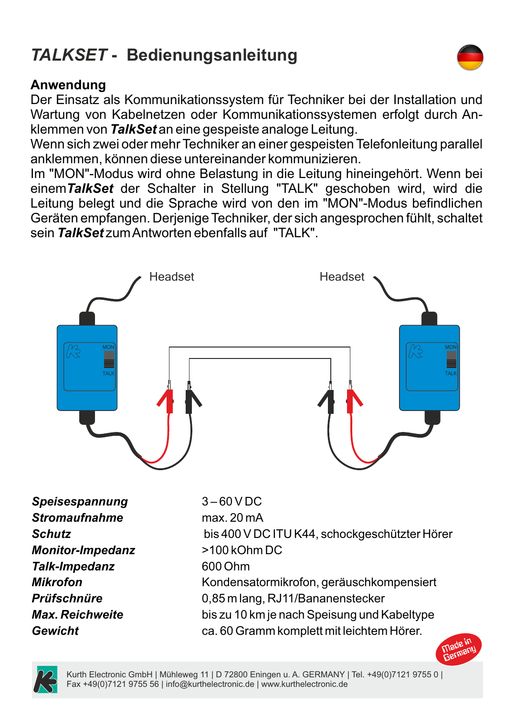## *TALKSET* **- Bedienungsanleitung**

## **Anwendung**

Der Einsatz als Kommunikationssystem für Techniker bei der Installation und Wartung von Kabelnetzen oder Kommunikationssystemen erfolgt durch Anklemmen von *TalkSet* an eine gespeiste analoge Leitung.

Wenn sich zwei oder mehr Techniker an einer gespeisten Telefonleitung parallel anklemmen, können diese untereinander kommunizieren.

Im "MON"-Modus wird ohne Belastung in die Leitung hineingehört. Wenn bei einem*TalkSet* der Schalter in Stellung "TALK" geschoben wird, wird die Leitung belegt und die Sprache wird von den im "MON"-Modus befindlichen Geräten empfangen. Derjenige Techniker, der sich angesprochen fühlt, schaltet sein *TalkSet* zum Antworten ebenfalls auf "TALK".